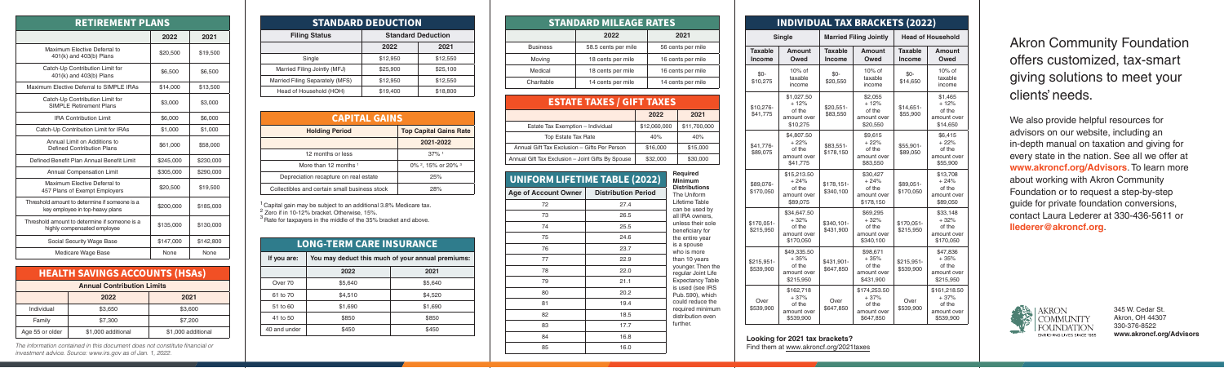|                 | <b>STANDARD MILEAGE RATES</b> |                   |  |  |
|-----------------|-------------------------------|-------------------|--|--|
|                 | 2022                          | 2021              |  |  |
| <b>Business</b> | 58.5 cents per mile           | 56 cents per mile |  |  |
| Moving          | 18 cents per mile             | 16 cents per mile |  |  |
| Medical         | 18 cents per mile             | 16 cents per mile |  |  |
| Charitable      | 14 cents per mile             | 14 cents per mile |  |  |

| <b>RETIREMENT PLANS</b>                                                          |           |             |  |
|----------------------------------------------------------------------------------|-----------|-------------|--|
|                                                                                  | 2022      | 2021        |  |
| Maximum Elective Deferral to<br>401(k) and 403(b) Plans                          | \$20,500  | \$19,500    |  |
| Catch-Up Contribution Limit for<br>401(k) and 403(b) Plans                       | \$6,500   | \$6,500     |  |
| Maximum Elective Deferral to SIMPLE IRAs                                         | \$14,000  | \$13,500    |  |
| Catch-Up Contribution Limit for<br><b>SIMPLE Retirement Plans</b>                | \$3.000   | \$3.000     |  |
| <b>IRA Contribution Limit</b>                                                    | \$6,000   | \$6,000     |  |
| Catch-Up Contribution Limit for IRAs                                             | \$1,000   | \$1,000     |  |
| Annual Limit on Additions to<br>Defined Contribution Plans                       | \$61,000  | \$58,000    |  |
| Defined Benefit Plan Annual Benefit Limit                                        | \$245,000 | \$230,000   |  |
| <b>Annual Compensation Limit</b>                                                 | \$305,000 | \$290,000   |  |
| Maximum Elective Deferral to<br>457 Plans of Exempt Employers                    | \$20,500  | \$19,500    |  |
| Threshold amount to determine if someone is a<br>key employee in top-heavy plans | \$200,000 | \$185,000   |  |
| Threshold amount to determine if someone is a<br>highly compensated employee     | \$135,000 | \$130,000   |  |
| Social Security Wage Base                                                        | \$147,000 | \$142,800   |  |
| Medicare Wage Base                                                               | None      | <b>None</b> |  |

### HEALTH SAVINGS ACCOUNTS (HSAs) **Annual Contribution Limits**

\$41.77 \$89.0

 $|$170,0]$  $$215.9$ 

| <b>Annual Contribution Limits</b> |                    |                    |  |
|-----------------------------------|--------------------|--------------------|--|
|                                   | 2022               | 2021               |  |
| Individual                        | \$3.650            | \$3,600            |  |
| Family                            | \$7.300            | \$7,200            |  |
| Age 55 or older                   | \$1,000 additional | \$1,000 additional |  |

 $|$ \$215,9  $$539.9$ 

The information contained in this document does not constitute financial or investment advice. Source: www.irs.gov as of Jan. 1, 2022.

| <b>CAPITAL GAINS</b>                          |                                           |  |  |
|-----------------------------------------------|-------------------------------------------|--|--|
| <b>Holding Period</b>                         | <b>Top Capital Gains Rate</b>             |  |  |
|                                               | 2021-2022                                 |  |  |
| 12 months or less                             | $37\%$ <sup>1</sup>                       |  |  |
| More than 12 months 1                         | 0% <sup>2</sup> , 15% or 20% <sup>3</sup> |  |  |
| Depreciation recapture on real estate         | 25%                                       |  |  |
| Collectibles and certain small business stock | 28%                                       |  |  |

<sup>1</sup> Capital gain may be subject to an additional 3.8% Medicare tax.<br><sup>2</sup> Zero if in 10-12% bracket. Otherwise. 15%.

 $3$  Rate for taxpayers in the middle of the 35% bracket and above.

| <b>ESTATE TAXES / GIFT TAXES</b>                  |              |              |  |  |
|---------------------------------------------------|--------------|--------------|--|--|
|                                                   | 2022         | 2021         |  |  |
| Estate Tax Exemption - Individual                 | \$12,060,000 | \$11,700,000 |  |  |
| <b>Top Estate Tax Rate</b>                        | 40%          | 40%          |  |  |
| Annual Gift Tax Exclusion - Gifts Per Person      | \$16,000     | \$15,000     |  |  |
| Annual Gift Tax Exclusion - Joint Gifts By Spouse | \$32,000     | \$30,000     |  |  |

| <b>LONG-TERM CARE INSURANCE</b> |                                                   |         |  |  |
|---------------------------------|---------------------------------------------------|---------|--|--|
| If you are:                     | You may deduct this much of your annual premiums: |         |  |  |
|                                 | 2022<br>2021                                      |         |  |  |
| Over 70                         | \$5,640                                           | \$5,640 |  |  |
| 61 to 70                        | \$4,510                                           | \$4,520 |  |  |
| 51 to 60                        | \$1,690                                           | \$1,690 |  |  |
| 41 to 50                        | \$850                                             | \$850   |  |  |
| 40 and under                    | \$450                                             | \$450   |  |  |

| INDIVIDUAL TAX BRACKETS (2022) |                                                             |                                 |                                                              |                          |                                                              |
|--------------------------------|-------------------------------------------------------------|---------------------------------|--------------------------------------------------------------|--------------------------|--------------------------------------------------------------|
| <b>Single</b>                  |                                                             | <b>Married Filing Jointly</b>   |                                                              | <b>Head of Household</b> |                                                              |
| <b>Taxable</b><br>Income       | <b>Amount</b><br>Owed                                       | <b>Taxable</b><br><b>Income</b> | <b>Amount</b><br>Owed                                        | <b>Taxable</b><br>Income | Amount<br>Owed                                               |
| $$0-$<br>\$10,275              | 10% of<br>taxable<br>income                                 | $$0-$<br>\$20,550               | 10% of<br>taxable<br>income                                  | \$0-<br>\$14,650         | 10% of<br>taxable<br>income                                  |
| \$10,276-<br>\$41,775          | \$1,027.50<br>$+12%$<br>of the<br>amount over<br>\$10,275   | $$20,551-$<br>\$83,550          | \$2,055<br>$+12%$<br>of the<br>amount over<br>\$20,550       | $$14,651-$<br>\$55,900   | \$1,465<br>$+12%$<br>of the<br>amount over<br>\$14,650       |
| \$41,776-<br>\$89,075          | \$4,807.50<br>$+22%$<br>of the<br>amount over<br>\$41,775   | \$83,551-<br>\$178,150          | \$9,615<br>$+22%$<br>of the<br>amount over<br>\$83,550       | \$55,901-<br>\$89,050    | \$6,415<br>$+22%$<br>of the<br>amount over<br>\$55,900       |
| \$89,076-<br>\$170,050         | \$15,213.50<br>$+24%$<br>of the<br>amount over<br>\$89,075  | $$178,151-$<br>\$340,100        | \$30,427<br>$+24%$<br>of the<br>amount over<br>\$178,150     | \$89,051-<br>\$170,050   | \$13,708<br>$+24%$<br>of the<br>amount over<br>\$89,050      |
| \$170,051-<br>\$215,950        | \$34,647.50<br>$+32%$<br>of the<br>amount over<br>\$170,050 | \$340,101-<br>\$431,900         | \$69,295<br>$+32%$<br>of the<br>amount over<br>\$340,100     | \$170,051-<br>\$215,950  | \$33,148<br>$+32%$<br>of the<br>amount over<br>\$170,050     |
| \$215,951-<br>\$539,900        | \$49,335.50<br>$+35%$<br>of the<br>amount over<br>\$215,950 | \$431,901-<br>\$647,850         | \$98,671<br>$+35%$<br>of the<br>amount over<br>\$431,900     | \$215,951-<br>\$539,900  | \$47,836<br>$+35%$<br>of the<br>amount over<br>\$215,950     |
| Over<br>\$539,900              | \$162,718<br>$+37%$<br>of the<br>amount over<br>\$539,900   | Over<br>\$647,850               | \$174,253.50<br>$+37%$<br>of the<br>amount over<br>\$647,850 | Over<br>\$539,900        | \$161,218.50<br>$+37%$<br>of the<br>amount over<br>\$539,900 |

| <b>UNIFORM LIFETIME TABLE (2022)</b> | Required<br><b>Minimum</b> |                                         |
|--------------------------------------|----------------------------|-----------------------------------------|
| <b>Age of Account Owner</b>          | <b>Distribution Period</b> | <b>Distributions</b><br>The Uniform     |
| 72                                   | 27.4                       | Lifetime Table<br>can be used by        |
| 73                                   | 26.5                       | all IRA owners,                         |
| 74                                   | 25.5                       | unless their sole<br>beneficiary for    |
| 75                                   | 24.6                       | the entire year                         |
| 76                                   | 23.7                       | is a spouse<br>who is more              |
| 77                                   | 22.9                       | than 10 years                           |
| 78                                   | 22.0                       | younger. Then the<br>regular Joint Life |
| 79                                   | 21.1                       | <b>Expectancy Table</b>                 |
| 80                                   | 20.2                       | is used (see IRS<br>Pub. 590), which    |
| 81                                   | 19.4                       | could reduce the                        |
| 82                                   | 18.5                       | required minimum<br>distribution even   |
| 83                                   | 17.7                       | further.                                |
| 84                                   | 16.8                       |                                         |
| 85                                   | 16.0                       |                                         |

#### **Taxa Incor**

Akron Community Foundation offers customized, tax-smart giving solutions to meet your clients' needs.

We also provide helpful resources for advisors on our website, including an in-depth manual on taxation and giving for every state in the nation. See all we offer at **www.akroncf.org/Advisors**. To learn more about working with Akron Community Foundation or to request a step-by-step guide for private foundation conversions, contact Laura Lederer at 330-436-5611 or **llederer@akroncf.org**.



345 W. Cedar St. Akron, OH 44307 330-376-8522 **www.akroncf.org/Advisors**

| <b>STANDARD DEDUCTION</b>       |                           |          |  |
|---------------------------------|---------------------------|----------|--|
| <b>Filing Status</b>            | <b>Standard Deduction</b> |          |  |
|                                 | 2022                      | 2021     |  |
| Single                          | \$12,950                  | \$12,550 |  |
| Married Filing Jointly (MFJ)    | \$25,900                  | \$25,100 |  |
| Married Filing Separately (MFS) | \$12,950                  | \$12,550 |  |
| Head of Household (HOH)         | \$19,400                  | \$18,800 |  |

**Looking for 2021 tax brackets?**

Find them at [www.akroncf.org/2021taxes](https://www.akroncf.org/wp-content/uploads/2021-Tax-Brackets.pdf)